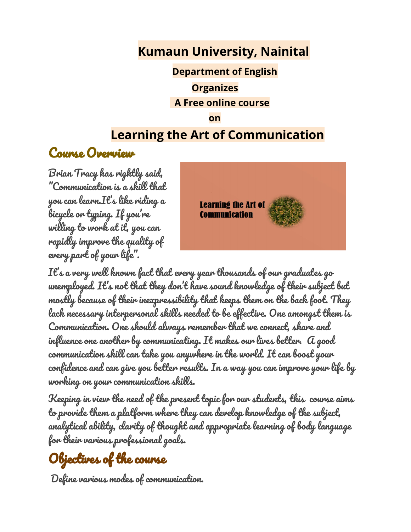### **Kumaun University, Nainital**

 **Department of English Organizes A Free online course on**

## **Learning the Art of Communication**

#### Course Overview

Brian Tracy has rightly said, "Communication is a skill that you can learn.It' s like riding a bicycle or typing. If you ' re willing to work at it, you can rapidly improve the quality of every part of your life ".



It' s a very well known fact that every year thousands of our graduates go unemployed. It' s not that they don 't have sound knowledge of their subject but mostly because of their inexpressibility that keeps them on the back foot. They lack necessary interpersonal skills needed to be effective. One amongst them is Communication. One should always remember that we connect, share and influence one another by communicating. It makes our lives better. A good communication skill can take you anywhere in the world. It can boost your confidence and can give you better results. In a way you can improve your life by working on your communication skills.

Keeping in view the need of the present topic for our students, this course aims to provide them a platform where they can develop knowledge of the subject, analytical ability, clarity of thought and appropriate learning of body language for their various professional goals.

# Objectives of the course

Define various modes of communication.